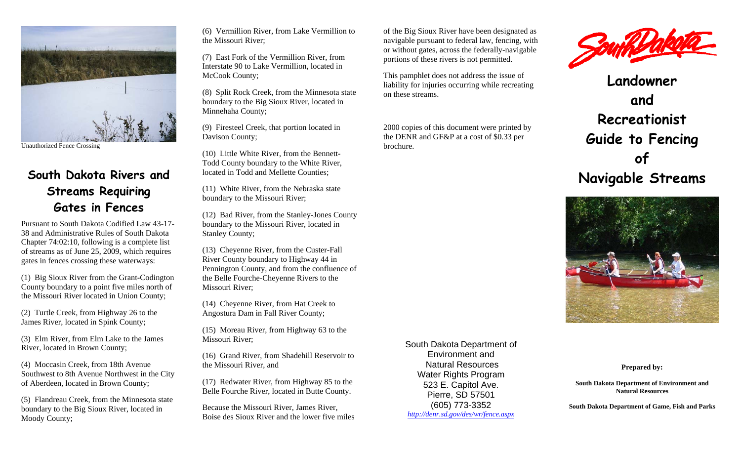

Unauthorized Fence Crossing

# **South Dakota Rivers and Streams Requiring Gates in Fences**

Pursuant to South Dakota Codified Law 43-17-38 and Administrative Rules of South Dakota Chapter 74:02:10, following is a complete list of streams as of June 25, 2009, which requires gates in fences crossing these waterways:

(1) Big Sioux River from the Grant-Codington County boundary to a point five miles north of the Missouri River located in Union County;

(2) Turtle Creek, from Highway 26 to the James River, located in Spink County;

(3) Elm River, from Elm Lake to the James River, located in Brown County;

(4) Moccasin Creek, from 18th Avenue Southwest to 8th Avenue Northwest in the City of Aberdeen, located in Brown County;

(5) Flandreau Creek, from the Minnesota state boundary to the Big Sioux River, located in Moody County;

(6) Vermillion River, from Lake Vermillion to the Missouri River;

(7) East Fork of the Vermillion River, from Interstate 90 to Lake Vermillion, located in McCook County;

(8) Split Rock Creek, from the Minnesota state boundary to the Big Sioux River, located in Minnehaha County;

(9) Firesteel Creek, that portion located in Davison County;

(10) Little White River, from the Bennett-Todd County boundary to the White River, located in Todd and Mellette Counties;

(11) White River, from the Nebraska state boundary to the Missouri River;

(12) Bad River, from the Stanley-Jones County boundary to the Missouri River, located in Stanley County;

(13) Cheyenne River, from the Custer-Fall River County boundary to Highway 44 in Pennington County, and from the confluence of the Belle Fourche-Cheyenne Rivers to the Missouri River;

(14) Cheyenne River, from Hat Creek to Angostura Dam in Fall River County;

(15) Moreau River, from Highway 63 to the Missouri River;

(16) Grand River, from Shadehill Reservoir to the Missouri River, and

(17) Redwater River, from Highway 85 to the Belle Fourche River, located in Butte County.

Because the Missouri River, James River, Boise des Sioux River and the lower five miles

of the Big Sioux River have been designated as navigable pursuant to federal law, fencing, with or without gates, across the federally-navigable portions of these rivers is not permitted.

This pamphlet does not address the issue of liability for injuries occurring while recreating on these streams.

2000 copies of this document were printed by the DENR and GF&P at a cost of \$0.33 per brochure.



**Landowner and Recreationist Guide to Fencing of Navigable Streams** 



South Dakota Department of Environment and Natural Resources Water Rights Program 523 E. Capitol Ave. Pierre, SD 57501 (605) 773-3352 *http://denr.sd.gov/des/wr/fence.aspx*

**Prepared by:** 

**South Dakota Department of Environment and Natural Resources** 

**South Dakota Department of Game, Fish and Parks**